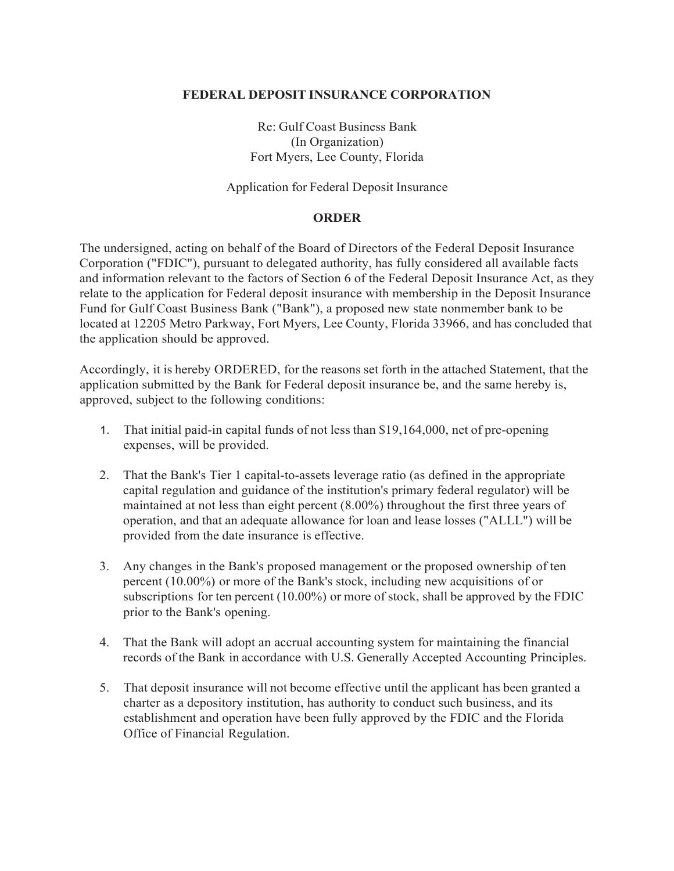### **FEDERAL DEPOSIT INSURANCE CORPORATION**

Re: Gulf Coast Business Bank (In Organization) Fort Myers, Lee County, Florida

Application for Federal Deposit Insurance

## **ORDER**

The undersigned, acting on behalf of the Board of Directors of the Federal Deposit Insurance Corporation ("FDIC"), pursuant to delegated authority, has fully considered all available facts and information relevant to the factors of Section 6 of the Federal Deposit Insurance Act, as they relate to the application for Federal deposit insurance with membership in the Deposit Insurance Fund for Gulf Coast Business Bank ("Bank"), a proposed new state nonmember bank to be located at 12205 Metro Parkway, Fort Myers, Lee County, Florida 33966, and has concluded that the application should be approved.

Accordingly, it is hereby ORDERED, for the reasons set forth in the attached Statement, that the application submitted by the Bank for Federal deposit insurance be, and the same hereby is, approved, subject to the following conditions:

- 1. That initial paid-in capital funds of not less than \$19,164,000, net of pre-opening expenses, will be provided.
- 2. That the Bank's Tier 1 capital-to-assets leverage ratio (as defined in the appropriate capital regulation and guidance of the institution's primary federal regulator) will be maintained at not less than eight percent (8.00%) throughout the first three years of operation, and that an adequate allowance for loan and lease losses ("ALLL") will be provided from the date insurance is effective.
- 3. Any changes in the Bank's proposed management or the proposed ownership of ten percent (10.00%) or more of the Bank's stock, including new acquisitions of or subscriptions for ten percent (10.00%) or more of stock, shall be approved by the FDIC prior to the Bank's opening.
- 4. That the Bank will adopt an accrual accounting system for maintaining the financial records of the Bank in accordance with U.S. Generally Accepted Accounting Principles.
- 5. That deposit insurance will not become effective until the applicant has been granted a charter as a depository institution, has authority to conduct such business, and its establishment and operation have been fully approved by the FDIC and the Florida Office of Financial Regulation.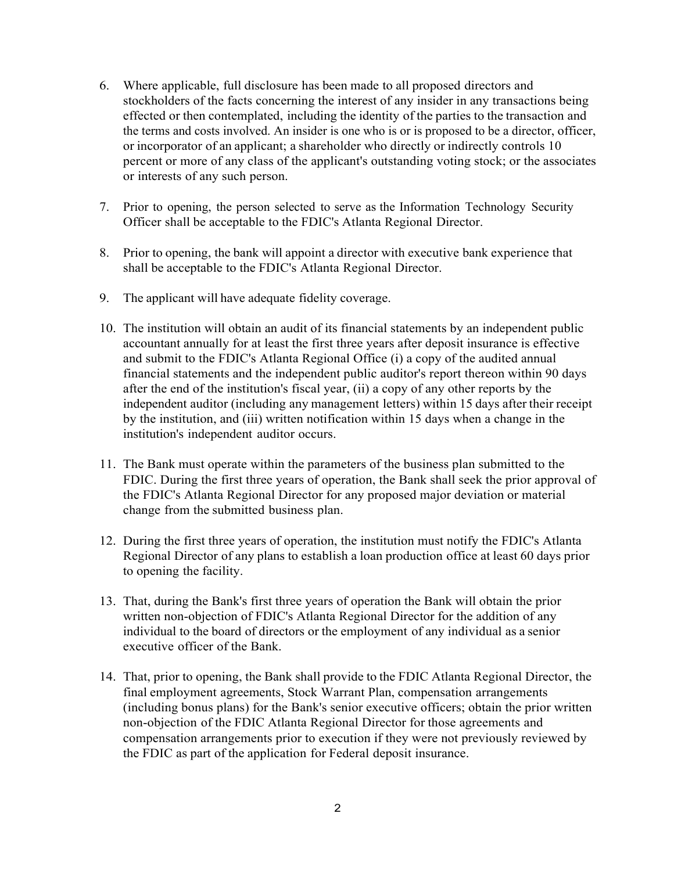- 6. Where applicable, full disclosure has been made to all proposed directors and stockholders of the facts concerning the interest of any insider in any transactions being effected or then contemplated, including the identity of the parties to the transaction and the terms and costs involved. An insider is one who is or is proposed to be a director, officer, or incorporator of an applicant; a shareholder who directly or indirectly controls 10 percent or more of any class of the applicant's outstanding voting stock; or the associates or interests of any such person.
- 7. Prior to opening, the person selected to serve as the Information Technology Security Officer shall be acceptable to the FDIC's Atlanta Regional Director.
- 8. Prior to opening, the bank will appoint a director with executive bank experience that shall be acceptable to the FDIC's Atlanta Regional Director.
- 9. The applicant will have adequate fidelity coverage.
- 10. The institution will obtain an audit of its financial statements by an independent public accountant annually for at least the first three years after deposit insurance is effective and submit to the FDIC's Atlanta Regional Office (i) a copy of the audited annual financial statements and the independent public auditor's report thereon within 90 days after the end of the institution's fiscal year, (ii) a copy of any other reports by the independent auditor (including any management letters) within 15 days after their receipt by the institution, and (iii) written notification within 15 days when a change in the institution's independent auditor occurs.
- 11. The Bank must operate within the parameters of the business plan submitted to the FDIC. During the first three years of operation, the Bank shall seek the prior approval of the FDIC's Atlanta Regional Director for any proposed major deviation or material change from the submitted business plan.
- 12. During the first three years of operation, the institution must notify the FDIC's Atlanta Regional Director of any plans to establish a loan production office at least 60 days prior to opening the facility.
- 13. That, during the Bank's first three years of operation the Bank will obtain the prior written non-objection of FDIC's Atlanta Regional Director for the addition of any individual to the board of directors or the employment of any individual as a senior executive officer of the Bank.
- 14. That, prior to opening, the Bank shall provide to the FDIC Atlanta Regional Director, the final employment agreements, Stock Warrant Plan, compensation arrangements (including bonus plans) for the Bank's senior executive officers; obtain the prior written non-objection of the FDIC Atlanta Regional Director for those agreements and compensation arrangements prior to execution if they were not previously reviewed by the FDIC as part of the application for Federal deposit insurance.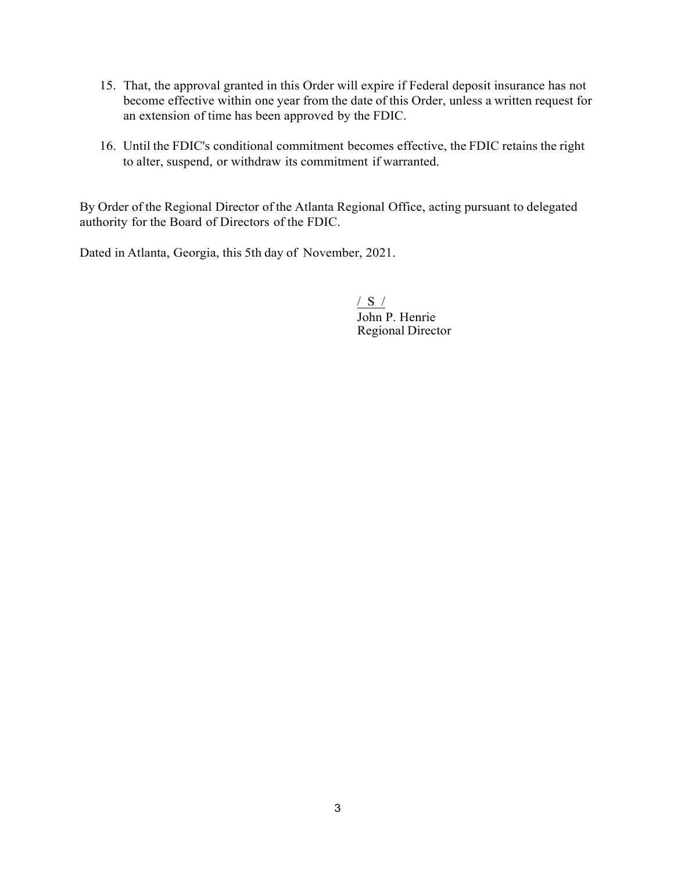- 15. That, the approval granted in this Order will expire if Federal deposit insurance has not become effective within one year from the date of this Order, unless a written request for an extension of time has been approved by the FDIC.
- 16. Until the FDIC's conditional commitment becomes effective, the FDIC retains the right to alter, suspend, or withdraw its commitment if warranted.

By Order of the Regional Director of the Atlanta Regional Office, acting pursuant to delegated authority for the Board of Directors of the FDIC.

Dated in Atlanta, Georgia, this 5th day of November, 2021.

/ S / John P. Henrie Regional Director